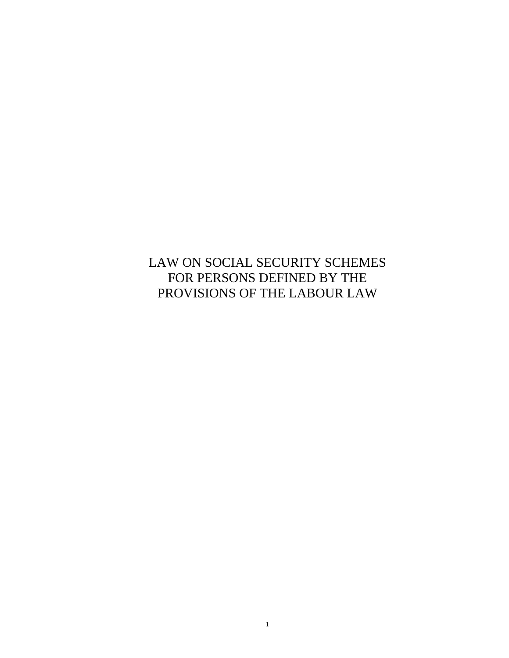LAW ON SOCIAL SECURITY SCHEMES FOR PERSONS DEFINED BY THE PROVISIONS OF THE LABOUR LAW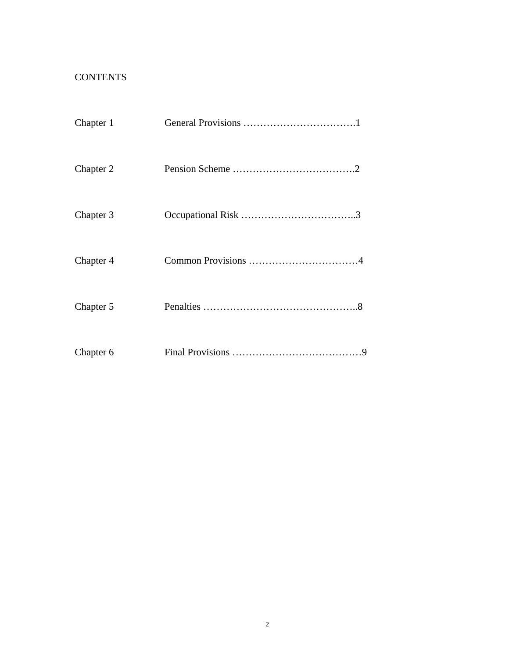# **CONTENTS**

| Chapter 1 |  |
|-----------|--|
| Chapter 2 |  |
| Chapter 3 |  |
| Chapter 4 |  |
| Chapter 5 |  |
| Chapter 6 |  |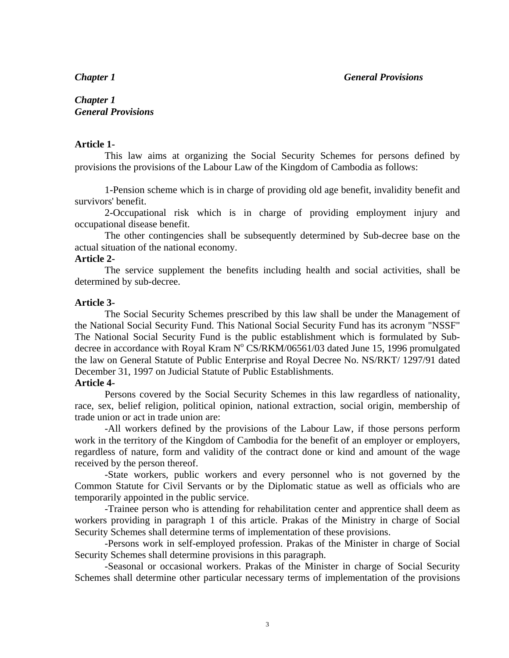## *Chapter 1 General Provisions*

#### **Article 1-**

This law aims at organizing the Social Security Schemes for persons defined by provisions the provisions of the Labour Law of the Kingdom of Cambodia as follows:

1-Pension scheme which is in charge of providing old age benefit, invalidity benefit and survivors' benefit.

2-Occupational risk which is in charge of providing employment injury and occupational disease benefit.

The other contingencies shall be subsequently determined by Sub-decree base on the actual situation of the national economy.

#### **Article 2-**

The service supplement the benefits including health and social activities, shall be determined by sub-decree.

#### **Article 3-**

The Social Security Schemes prescribed by this law shall be under the Management of the National Social Security Fund. This National Social Security Fund has its acronym "NSSF" The National Social Security Fund is the public establishment which is formulated by Subdecree in accordance with Royal Kram  $N^{\circ}$  CS/RKM/06561/03 dated June 15, 1996 promulgated the law on General Statute of Public Enterprise and Royal Decree No. NS/RKT/ 1297/91 dated December 31, 1997 on Judicial Statute of Public Establishments.

#### **Article 4-**

Persons covered by the Social Security Schemes in this law regardless of nationality, race, sex, belief religion, political opinion, national extraction, social origin, membership of trade union or act in trade union are:

-All workers defined by the provisions of the Labour Law, if those persons perform work in the territory of the Kingdom of Cambodia for the benefit of an employer or employers, regardless of nature, form and validity of the contract done or kind and amount of the wage received by the person thereof.

-State workers, public workers and every personnel who is not governed by the Common Statute for Civil Servants or by the Diplomatic statue as well as officials who are temporarily appointed in the public service.

-Trainee person who is attending for rehabilitation center and apprentice shall deem as workers providing in paragraph 1 of this article. Prakas of the Ministry in charge of Social Security Schemes shall determine terms of implementation of these provisions.

-Persons work in self-employed profession. Prakas of the Minister in charge of Social Security Schemes shall determine provisions in this paragraph.

-Seasonal or occasional workers. Prakas of the Minister in charge of Social Security Schemes shall determine other particular necessary terms of implementation of the provisions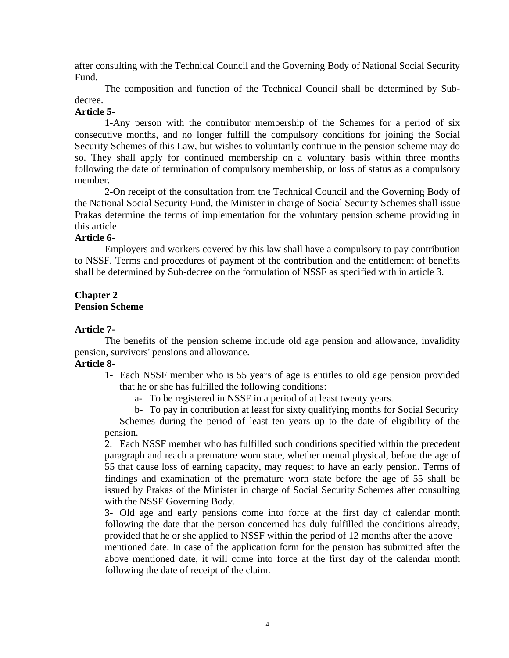after consulting with the Technical Council and the Governing Body of National Social Security Fund.

The composition and function of the Technical Council shall be determined by Subdecree.

## **Article 5-**

1-Any person with the contributor membership of the Schemes for a period of six consecutive months, and no longer fulfill the compulsory conditions for joining the Social Security Schemes of this Law, but wishes to voluntarily continue in the pension scheme may do so. They shall apply for continued membership on a voluntary basis within three months following the date of termination of compulsory membership, or loss of status as a compulsory member.

2-On receipt of the consultation from the Technical Council and the Governing Body of the National Social Security Fund, the Minister in charge of Social Security Schemes shall issue Prakas determine the terms of implementation for the voluntary pension scheme providing in this article.

## **Article 6-**

Employers and workers covered by this law shall have a compulsory to pay contribution to NSSF. Terms and procedures of payment of the contribution and the entitlement of benefits shall be determined by Sub-decree on the formulation of NSSF as specified with in article 3.

#### **Chapter 2 Pension Scheme**

# **Article 7-**

The benefits of the pension scheme include old age pension and allowance, invalidity pension, survivors' pensions and allowance.

# **Article 8-**

- 1- Each NSSF member who is 55 years of age is entitles to old age pension provided that he or she has fulfilled the following conditions:
	- a- To be registered in NSSF in a period of at least twenty years.

b- To pay in contribution at least for sixty qualifying months for Social Security Schemes during the period of least ten years up to the date of eligibility of the pension.

2. Each NSSF member who has fulfilled such conditions specified within the precedent paragraph and reach a premature worn state, whether mental physical, before the age of 55 that cause loss of earning capacity, may request to have an early pension. Terms of findings and examination of the premature worn state before the age of 55 shall be issued by Prakas of the Minister in charge of Social Security Schemes after consulting with the NSSF Governing Body.

3- Old age and early pensions come into force at the first day of calendar month following the date that the person concerned has duly fulfilled the conditions already, provided that he or she applied to NSSF within the period of 12 months after the above

mentioned date. In case of the application form for the pension has submitted after the above mentioned date, it will come into force at the first day of the calendar month following the date of receipt of the claim.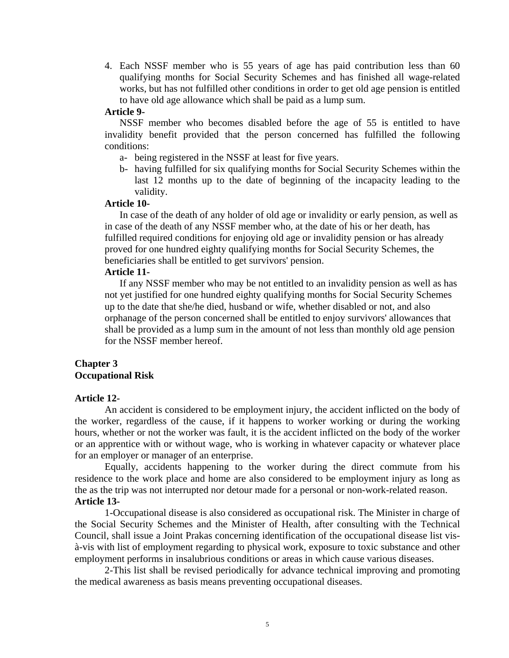4. Each NSSF member who is 55 years of age has paid contribution less than 60 qualifying months for Social Security Schemes and has finished all wage-related works, but has not fulfilled other conditions in order to get old age pension is entitled to have old age allowance which shall be paid as a lump sum.

#### **Article 9-**

NSSF member who becomes disabled before the age of 55 is entitled to have invalidity benefit provided that the person concerned has fulfilled the following conditions:

- a- being registered in the NSSF at least for five years.
- b- having fulfilled for six qualifying months for Social Security Schemes within the last 12 months up to the date of beginning of the incapacity leading to the validity.

#### **Article 10-**

In case of the death of any holder of old age or invalidity or early pension, as well as in case of the death of any NSSF member who, at the date of his or her death, has fulfilled required conditions for enjoying old age or invalidity pension or has already proved for one hundred eighty qualifying months for Social Security Schemes, the beneficiaries shall be entitled to get survivors' pension.

#### **Article 11-**

If any NSSF member who may be not entitled to an invalidity pension as well as has not yet justified for one hundred eighty qualifying months for Social Security Schemes up to the date that she/he died, husband or wife, whether disabled or not, and also orphanage of the person concerned shall be entitled to enjoy survivors' allowances that shall be provided as a lump sum in the amount of not less than monthly old age pension for the NSSF member hereof.

#### **Chapter 3 Occupational Risk**

#### **Article 12-**

An accident is considered to be employment injury, the accident inflicted on the body of the worker, regardless of the cause, if it happens to worker working or during the working hours, whether or not the worker was fault, it is the accident inflicted on the body of the worker or an apprentice with or without wage, who is working in whatever capacity or whatever place for an employer or manager of an enterprise.

Equally, accidents happening to the worker during the direct commute from his residence to the work place and home are also considered to be employment injury as long as the as the trip was not interrupted nor detour made for a personal or non-work-related reason. **Article 13-** 

1-Occupational disease is also considered as occupational risk. The Minister in charge of the Social Security Schemes and the Minister of Health, after consulting with the Technical Council, shall issue a Joint Prakas concerning identification of the occupational disease list visà-vis with list of employment regarding to physical work, exposure to toxic substance and other employment performs in insalubrious conditions or areas in which cause various diseases.

2-This list shall be revised periodically for advance technical improving and promoting the medical awareness as basis means preventing occupational diseases.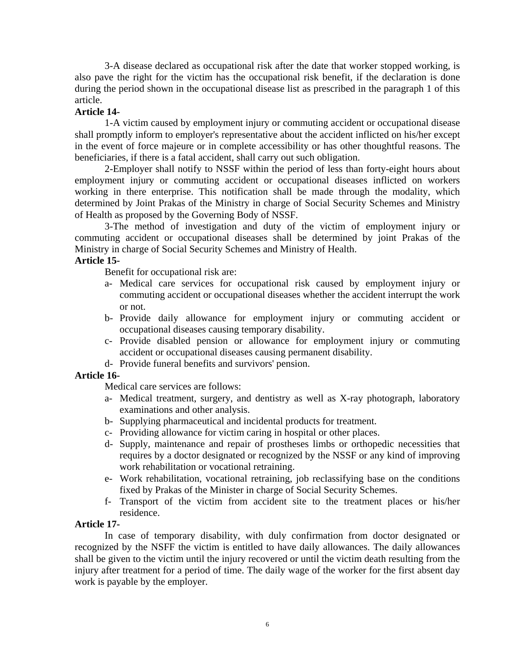3-A disease declared as occupational risk after the date that worker stopped working, is also pave the right for the victim has the occupational risk benefit, if the declaration is done during the period shown in the occupational disease list as prescribed in the paragraph 1 of this article.

## **Article 14-**

1-A victim caused by employment injury or commuting accident or occupational disease shall promptly inform to employer's representative about the accident inflicted on his/her except in the event of force majeure or in complete accessibility or has other thoughtful reasons. The beneficiaries, if there is a fatal accident, shall carry out such obligation.

2-Employer shall notify to NSSF within the period of less than forty-eight hours about employment injury or commuting accident or occupational diseases inflicted on workers working in there enterprise. This notification shall be made through the modality, which determined by Joint Prakas of the Ministry in charge of Social Security Schemes and Ministry of Health as proposed by the Governing Body of NSSF.

3-The method of investigation and duty of the victim of employment injury or commuting accident or occupational diseases shall be determined by joint Prakas of the Ministry in charge of Social Security Schemes and Ministry of Health.

## **Article 15-**

Benefit for occupational risk are:

- a- Medical care services for occupational risk caused by employment injury or commuting accident or occupational diseases whether the accident interrupt the work or not.
- b- Provide daily allowance for employment injury or commuting accident or occupational diseases causing temporary disability.
- c- Provide disabled pension or allowance for employment injury or commuting accident or occupational diseases causing permanent disability.
- d- Provide funeral benefits and survivors' pension.

## **Article 16-**

Medical care services are follows:

- a- Medical treatment, surgery, and dentistry as well as X-ray photograph, laboratory examinations and other analysis.
- b- Supplying pharmaceutical and incidental products for treatment.
- c- Providing allowance for victim caring in hospital or other places.
- d- Supply, maintenance and repair of prostheses limbs or orthopedic necessities that requires by a doctor designated or recognized by the NSSF or any kind of improving work rehabilitation or vocational retraining.
- e- Work rehabilitation, vocational retraining, job reclassifying base on the conditions fixed by Prakas of the Minister in charge of Social Security Schemes.
- f- Transport of the victim from accident site to the treatment places or his/her residence.

#### **Article 17-**

In case of temporary disability, with duly confirmation from doctor designated or recognized by the NSFF the victim is entitled to have daily allowances. The daily allowances shall be given to the victim until the injury recovered or until the victim death resulting from the injury after treatment for a period of time. The daily wage of the worker for the first absent day work is payable by the employer.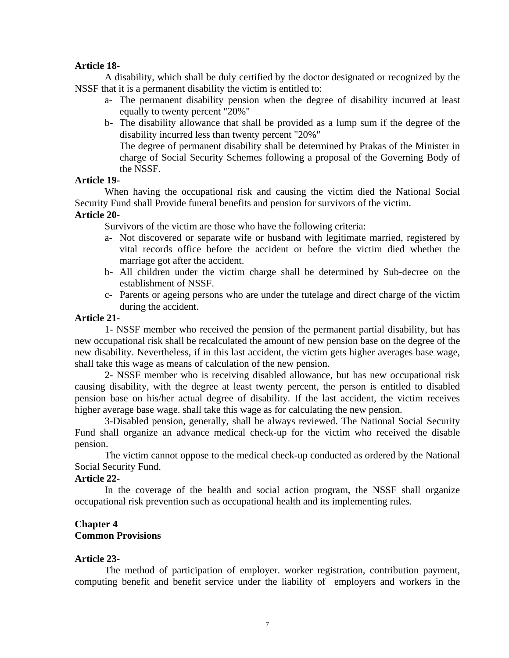#### **Article 18-**

A disability, which shall be duly certified by the doctor designated or recognized by the NSSF that it is a permanent disability the victim is entitled to:

- a- The permanent disability pension when the degree of disability incurred at least equally to twenty percent "20%"
- b- The disability allowance that shall be provided as a lump sum if the degree of the disability incurred less than twenty percent "20%"

The degree of permanent disability shall be determined by Prakas of the Minister in charge of Social Security Schemes following a proposal of the Governing Body of the NSSF.

#### **Article 19-**

When having the occupational risk and causing the victim died the National Social Security Fund shall Provide funeral benefits and pension for survivors of the victim.

#### **Article 20-**

Survivors of the victim are those who have the following criteria:

- a- Not discovered or separate wife or husband with legitimate married, registered by vital records office before the accident or before the victim died whether the marriage got after the accident.
- b- All children under the victim charge shall be determined by Sub-decree on the establishment of NSSF.
- c- Parents or ageing persons who are under the tutelage and direct charge of the victim during the accident.

## **Article 21-**

1- NSSF member who received the pension of the permanent partial disability, but has new occupational risk shall be recalculated the amount of new pension base on the degree of the new disability. Nevertheless, if in this last accident, the victim gets higher averages base wage, shall take this wage as means of calculation of the new pension.

2- NSSF member who is receiving disabled allowance, but has new occupational risk causing disability, with the degree at least twenty percent, the person is entitled to disabled pension base on his/her actual degree of disability. If the last accident, the victim receives higher average base wage. shall take this wage as for calculating the new pension.

3-Disabled pension, generally, shall be always reviewed. The National Social Security Fund shall organize an advance medical check-up for the victim who received the disable pension.

The victim cannot oppose to the medical check-up conducted as ordered by the National Social Security Fund.

## **Article 22-**

In the coverage of the health and social action program, the NSSF shall organize occupational risk prevention such as occupational health and its implementing rules.

#### **Chapter 4 Common Provisions**

## **Article 23-**

The method of participation of employer. worker registration, contribution payment, computing benefit and benefit service under the liability of employers and workers in the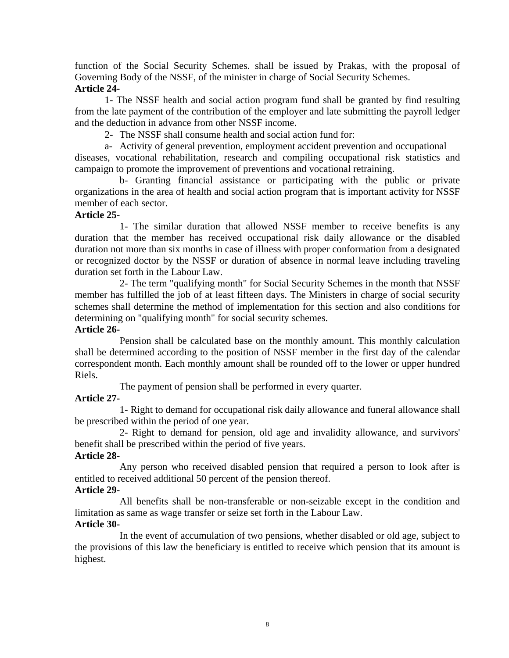function of the Social Security Schemes. shall be issued by Prakas, with the proposal of Governing Body of the NSSF, of the minister in charge of Social Security Schemes. **Article 24-** 

1- The NSSF health and social action program fund shall be granted by find resulting from the late payment of the contribution of the employer and late submitting the payroll ledger and the deduction in advance from other NSSF income.

2- The NSSF shall consume health and social action fund for:

a- Activity of general prevention, employment accident prevention and occupational

diseases, vocational rehabilitation, research and compiling occupational risk statistics and campaign to promote the improvement of preventions and vocational retraining.

b- Granting financial assistance or participating with the public or private organizations in the area of health and social action program that is important activity for NSSF member of each sector.

## **Article 25-**

1- The similar duration that allowed NSSF member to receive benefits is any duration that the member has received occupational risk daily allowance or the disabled duration not more than six months in case of illness with proper conformation from a designated or recognized doctor by the NSSF or duration of absence in normal leave including traveling duration set forth in the Labour Law.

2- The term "qualifying month" for Social Security Schemes in the month that NSSF member has fulfilled the job of at least fifteen days. The Ministers in charge of social security schemes shall determine the method of implementation for this section and also conditions for determining on "qualifying month" for social security schemes.

## **Article 26-**

Pension shall be calculated base on the monthly amount. This monthly calculation shall be determined according to the position of NSSF member in the first day of the calendar correspondent month. Each monthly amount shall be rounded off to the lower or upper hundred Riels.

The payment of pension shall be performed in every quarter.

# **Article 27-**

1- Right to demand for occupational risk daily allowance and funeral allowance shall be prescribed within the period of one year.

2- Right to demand for pension, old age and invalidity allowance, and survivors' benefit shall be prescribed within the period of five years.

# **Article 28-**

Any person who received disabled pension that required a person to look after is entitled to received additional 50 percent of the pension thereof.

# **Article 29-**

All benefits shall be non-transferable or non-seizable except in the condition and limitation as same as wage transfer or seize set forth in the Labour Law.

## **Article 30-**

In the event of accumulation of two pensions, whether disabled or old age, subject to the provisions of this law the beneficiary is entitled to receive which pension that its amount is highest.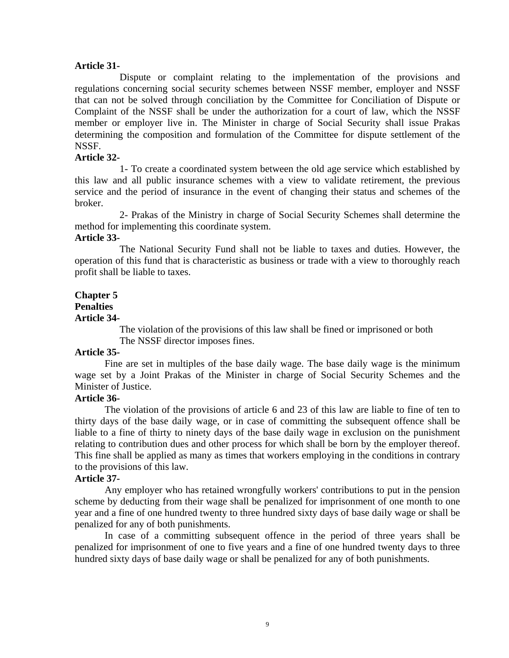#### **Article 31-**

Dispute or complaint relating to the implementation of the provisions and regulations concerning social security schemes between NSSF member, employer and NSSF that can not be solved through conciliation by the Committee for Conciliation of Dispute or Complaint of the NSSF shall be under the authorization for a court of law, which the NSSF member or employer live in. The Minister in charge of Social Security shall issue Prakas determining the composition and formulation of the Committee for dispute settlement of the NSSF.

#### **Article 32-**

1- To create a coordinated system between the old age service which established by this law and all public insurance schemes with a view to validate retirement, the previous service and the period of insurance in the event of changing their status and schemes of the broker.

2- Prakas of the Ministry in charge of Social Security Schemes shall determine the method for implementing this coordinate system.

#### **Article 33-**

The National Security Fund shall not be liable to taxes and duties. However, the operation of this fund that is characteristic as business or trade with a view to thoroughly reach profit shall be liable to taxes.

# **Chapter 5**

## **Penalties**

#### **Article 34-**

The violation of the provisions of this law shall be fined or imprisoned or both The NSSF director imposes fines.

## **Article 35-**

Fine are set in multiples of the base daily wage. The base daily wage is the minimum wage set by a Joint Prakas of the Minister in charge of Social Security Schemes and the Minister of Justice.

#### **Article 36-**

The violation of the provisions of article 6 and 23 of this law are liable to fine of ten to thirty days of the base daily wage, or in case of committing the subsequent offence shall be liable to a fine of thirty to ninety days of the base daily wage in exclusion on the punishment relating to contribution dues and other process for which shall be born by the employer thereof. This fine shall be applied as many as times that workers employing in the conditions in contrary to the provisions of this law.

#### **Article 37-**

Any employer who has retained wrongfully workers' contributions to put in the pension scheme by deducting from their wage shall be penalized for imprisonment of one month to one year and a fine of one hundred twenty to three hundred sixty days of base daily wage or shall be penalized for any of both punishments.

In case of a committing subsequent offence in the period of three years shall be penalized for imprisonment of one to five years and a fine of one hundred twenty days to three hundred sixty days of base daily wage or shall be penalized for any of both punishments.